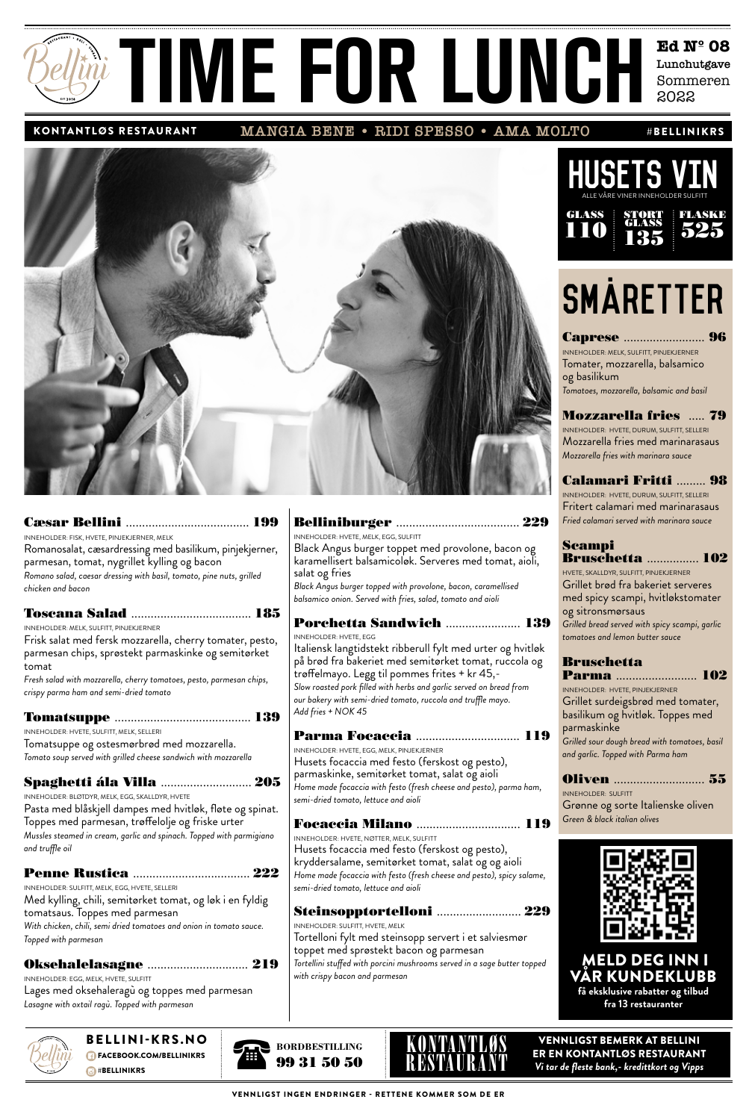## **Ed Nº 08 Lunchutgave** Sini TIME FOR LUNCH Edith

**MANGIA BENE • RIDI SPESSO • AMA MOLTO** KONTANTLØS RESTAURANT #BELLINIKRS



|--|--|--|

INNEHOLDER: FISK, HVETE, PINJEKJERNER, MELK Romanosalat, cæsardressing med basilikum, pinjekjerner, parmesan, tomat, nygrillet kylling og bacon *Romano salad, caesar dressing with basil, tomato, pine nuts, grilled chicken and bacon*

| INNEHOLDER: MELK, SULFITT, PINJEKJERNER                                                                                  |
|--------------------------------------------------------------------------------------------------------------------------|
| Frisk salat med fersk mozzarella, cherry tomater, pesto,<br>parmesan chips, sprøstekt parmaskinke og semitørket<br>tomat |
| Fresh salad with mozzarella, cherry tomatoes, pesto, parmesan chips,                                                     |
| crispy parma ham and semi-dried tomato                                                                                   |
|                                                                                                                          |
| INNEHOLDER: HVETE, SULFITT, MELK, SELLERI                                                                                |
| Tomatsuppe og ostesmørbrød med mozzarella.                                                                               |
| Tomato soup served with grilled cheese sandwich with mozzarella                                                          |
| Spaghetti ála Villa  205                                                                                                 |
| INNEHOLDER: BLØTDYR, MELK, EGG, SKALLDYR, HVETE                                                                          |
| Pasta med blåskjell dampes med hvitløk, fløte og spinat.<br>Toppes med parmesan, trøffelolje og friske urter             |
| Mussles steamed in cream, garlic and spinach. Topped with parmigiano<br>and truffle oil                                  |
|                                                                                                                          |
| INNEHOLDER: SULFITT, MELK, EGG, HVETE, SELLERI                                                                           |
| Med kylling, chili, semitørket tomat, og løk i en fyldig<br>tomatsaus. Toppes med parmesan                               |
| With chicken, chili, semi dried tomatoes and onion in tomato sauce.                                                      |
| Topped with parmesan                                                                                                     |
|                                                                                                                          |
| Oksehalelasagne  219                                                                                                     |

INNEHOLDER: EGG, MELK, HVETE, SULFITT Lages med oksehaleragù og toppes med parmesan *Lasagne with oxtail ragù. Topped with parmesan*



**BELLINI-KRS.NO FACEBOOK.COM/BELLINIKRS BELLINIKRS** 

### Belliniburger ...................................... 229

#### INEHOLDER: HVETE, MELK, EGG, SULFITT Black Angus burger toppet med provolone, bacon og karamellisert balsamicoløk. Serveres med tomat, aioli, salat og fries

*Black Angus burger topped with provolone, bacon, caramellised balsamico onion. Served with fries, salad, tomato and aioli* 

### Porchetta Sandwich ....................... 139 **NEHOLDER: HVETE, EGG**

aliensk langtidstekt ribberull fylt med urter og hvitløk  $\frac{1}{2}$ brød fra bakeriet med semitørket tomat, ruccola og øffelmayo. Legg til pommes frites + kr 45,-*Slow roasted pork filled with herbs and garlic served on bread from*  r bakery with semi-dried tomato, ruccola and truffle mayo. *Add fries + NOK 45*

## Parma Focaccia ................................ 119

NEHOLDER: HVETE, EGG, MELK, PINJEKJERNER lusets focaccia med festo (ferskost og pesto), parmaskinke, semitørket tomat, salat og aioli *Home made focaccia with festo (fresh cheese and pesto), parma ham, semi-dried tomato, lettuce and aioli*

Focaccia Milano ................................ 119 .<br>NEHOLDER: HVETE, NØTTER, MELK, SULFITT lusets focaccia med festo (ferskost og pesto), yddersalame, semitørket tomat, salat og og aioli *Home made focaccia with festo (fresh cheese and pesto), spicy salame, semi-dried tomato, lettuce and aioli*

Steinsopptortelloni .......................... 229 UNEHOLDER: SULFITT, HVETE, MELK ortelloni fylt med steinsopp servert i et salviesmør ppet med sprøstekt bacon og parmesan *Tortellini stuffed with porcini mushrooms served in a sage butter topped with crispy bacon and parmesan*



## **SMARETTER**

Caprese ......................... 96 INNEHOLDER: MELK, SULFITT, PINJEKJERNER Tomater, mozzarella, balsamico og basilikum *Tomatoes, mozzarella, balsamic and basil*

Mozzarella fries ..... 79 INNEHOLDER: HVETE, DURUM, SULFITT, SELLERI

Mozzarella fries med marinarasaus *Mozzarella fries with marinara sauce*

## Calamari Fritti ......... 98

INNEHOLDER: HVETE, DURUM, SULFITT, SELLERI Fritert calamari med marinarasaus *Fried calamari served with marinara sauce*

#### Scampi Bruschetta ................ 102

HVETE, SKALLDYR, SULFITT, PINJEKJERNER Grillet brød fra bakeriet serveres med spicy scampi, hvitløkstomater og sitronsmørsaus *Grilled bread served with spicy scampi, garlic* 

*tomatoes and lemon butter sauce*

## Bruschetta

Parma ......................... 102 INNEHOLDER: HVETE, PINJEKJERNER Grillet surdeigsbrød med tomater, basilikum og hvitløk. Toppes med parmaskinke *Grilled sour dough bread with tomatoes, basil* 

*and garlic. Topped with Parma ham*

Oliven ............................ 55

INNEHOLDER: SULFITT Grønne og sorte Italienske oliven *Green & black italian olives*



MELD DEG IN R KUNDEKLUBB **få eksklusive rabatter og tilbud fra 13 restauranter**





VENNLIGST BEMERK AT BELLINI ER EN KONTANTLØS RESTAURANT *Vi tar de fleste bank,- kredittkort og Vipps*